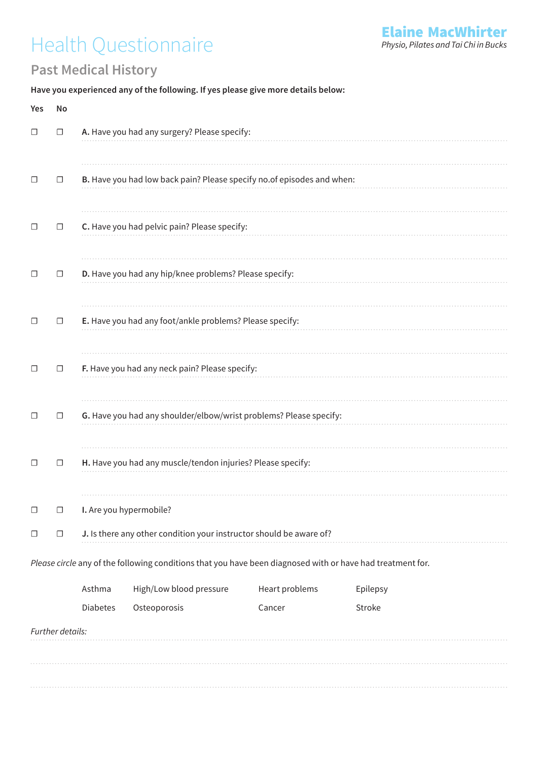# Health Questionnaire

# **Past Medical History**

#### **Have you experienced any of the following. If yes please give more details below:**

| Yes                                                                                                        | No      |                                                                     |                                                                        |                |          |  |  |
|------------------------------------------------------------------------------------------------------------|---------|---------------------------------------------------------------------|------------------------------------------------------------------------|----------------|----------|--|--|
| ⊔                                                                                                          | □       | A. Have you had any surgery? Please specify:                        |                                                                        |                |          |  |  |
|                                                                                                            |         |                                                                     |                                                                        |                |          |  |  |
| ⊔                                                                                                          | □       |                                                                     | B. Have you had low back pain? Please specify no.of episodes and when: |                |          |  |  |
|                                                                                                            |         |                                                                     |                                                                        |                |          |  |  |
| ⊔                                                                                                          | □       |                                                                     | C. Have you had pelvic pain? Please specify:                           |                |          |  |  |
|                                                                                                            |         |                                                                     |                                                                        |                |          |  |  |
| ⊔                                                                                                          | □       |                                                                     | D. Have you had any hip/knee problems? Please specify:                 |                |          |  |  |
|                                                                                                            |         |                                                                     |                                                                        |                |          |  |  |
|                                                                                                            |         |                                                                     |                                                                        |                |          |  |  |
| E. Have you had any foot/ankle problems? Please specify:<br>П<br>$\perp$                                   |         |                                                                     |                                                                        |                |          |  |  |
|                                                                                                            |         |                                                                     |                                                                        |                |          |  |  |
| $\Box$                                                                                                     | ⊔       |                                                                     | F. Have you had any neck pain? Please specify:                         |                |          |  |  |
|                                                                                                            |         |                                                                     |                                                                        |                |          |  |  |
| ⊔                                                                                                          | $\Box$  |                                                                     | G. Have you had any shoulder/elbow/wrist problems? Please specify:     |                |          |  |  |
|                                                                                                            |         |                                                                     |                                                                        |                |          |  |  |
|                                                                                                            | $\perp$ | H. Have you had any muscle/tendon injuries? Please specify:         |                                                                        |                |          |  |  |
|                                                                                                            |         |                                                                     |                                                                        |                |          |  |  |
| $\Box$                                                                                                     | $\Box$  | I. Are you hypermobile?                                             |                                                                        |                |          |  |  |
| $\Box$                                                                                                     | $\Box$  | J. Is there any other condition your instructor should be aware of? |                                                                        |                |          |  |  |
| Please circle any of the following conditions that you have been diagnosed with or have had treatment for. |         |                                                                     |                                                                        |                |          |  |  |
|                                                                                                            |         | Asthma                                                              | High/Low blood pressure                                                | Heart problems | Epilepsy |  |  |
|                                                                                                            |         | <b>Diabetes</b>                                                     | Osteoporosis                                                           | Cancer         | Stroke   |  |  |
| Further details:                                                                                           |         |                                                                     |                                                                        |                |          |  |  |
|                                                                                                            |         |                                                                     |                                                                        |                |          |  |  |
|                                                                                                            |         |                                                                     |                                                                        |                |          |  |  |
|                                                                                                            |         |                                                                     |                                                                        |                |          |  |  |